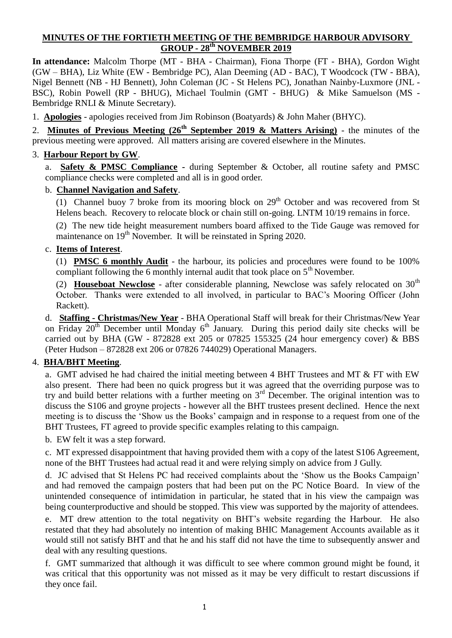## **MINUTES OF THE FORTIETH MEETING OF THE BEMBRIDGE HARBOUR ADVISORY GROUP - 28th NOVEMBER 2019**

**In attendance:** Malcolm Thorpe (MT - BHA - Chairman), Fiona Thorpe (FT - BHA), Gordon Wight (GW – BHA), Liz White (EW - Bembridge PC), Alan Deeming (AD - BAC), T Woodcock (TW - BBA), Nigel Bennett (NB - HJ Bennett), John Coleman (JC - St Helens PC), Jonathan Nainby-Luxmore (JNL - BSC), Robin Powell (RP - BHUG), Michael Toulmin (GMT - BHUG) & Mike Samuelson (MS - Bembridge RNLI & Minute Secretary).

1. **Apologies** - apologies received from Jim Robinson (Boatyards) & John Maher (BHYC).

2. **Minutes of Previous Meeting (26th September 2019 & Matters Arising)** - the minutes of the previous meeting were approved. All matters arising are covered elsewhere in the Minutes.

#### 3. **Harbour Report by GW**.

a. **Safety & PMSC Compliance -** during September & October, all routine safety and PMSC compliance checks were completed and all is in good order.

#### b. **Channel Navigation and Safety**.

(1) Channel buoy 7 broke from its mooring block on  $29<sup>th</sup>$  October and was recovered from St Helens beach. Recovery to relocate block or chain still on-going. LNTM 10/19 remains in force.

(2) The new tide height measurement numbers board affixed to the Tide Gauge was removed for maintenance on 19<sup>th</sup> November. It will be reinstated in Spring 2020.

#### c. **Items of Interest**.

(1) **PMSC 6 monthly Audit** - the harbour, its policies and procedures were found to be 100% compliant following the 6 monthly internal audit that took place on  $5<sup>th</sup>$  November.

(2) **Houseboat Newclose** - after considerable planning, Newclose was safely relocated on 30<sup>th</sup> October. Thanks were extended to all involved, in particular to BAC's Mooring Officer (John Rackett).

d. **Staffing - Christmas/New Year** - BHA Operational Staff will break for their Christmas/New Year on Friday  $20^{th}$  December until Monday  $6^{th}$  January. During this period daily site checks will be carried out by BHA (GW - 872828 ext 205 or 07825 155325 (24 hour emergency cover)  $\&$  BBS (Peter Hudson – 872828 ext 206 or 07826 744029) Operational Managers.

### 4. **BHA/BHT Meeting**.

a. GMT advised he had chaired the initial meeting between 4 BHT Trustees and MT & FT with EW also present. There had been no quick progress but it was agreed that the overriding purpose was to try and build better relations with a further meeting on 3rd December. The original intention was to discuss the S106 and groyne projects - however all the BHT trustees present declined. Hence the next meeting is to discuss the 'Show us the Books' campaign and in response to a request from one of the BHT Trustees, FT agreed to provide specific examples relating to this campaign.

b. EW felt it was a step forward.

c. MT expressed disappointment that having provided them with a copy of the latest S106 Agreement, none of the BHT Trustees had actual read it and were relying simply on advice from J Gully.

d. JC advised that St Helens PC had received complaints about the 'Show us the Books Campaign' and had removed the campaign posters that had been put on the PC Notice Board. In view of the unintended consequence of intimidation in particular, he stated that in his view the campaign was being counterproductive and should be stopped. This view was supported by the majority of attendees.

e. MT drew attention to the total negativity on BHT's website regarding the Harbour. He also restated that they had absolutely no intention of making BHIC Management Accounts available as it would still not satisfy BHT and that he and his staff did not have the time to subsequently answer and deal with any resulting questions.

f. GMT summarized that although it was difficult to see where common ground might be found, it was critical that this opportunity was not missed as it may be very difficult to restart discussions if they once fail.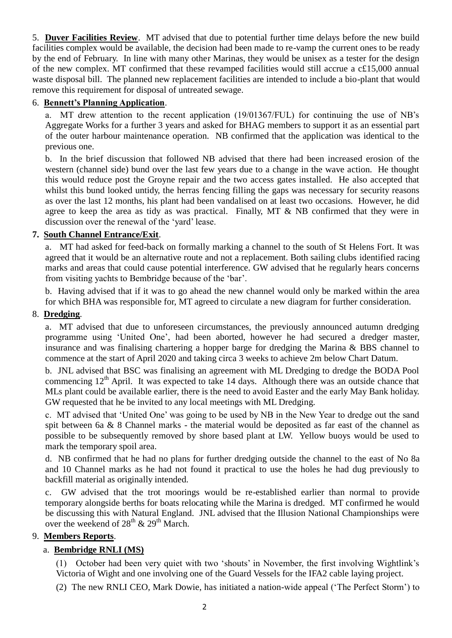5. **Duver Facilities Review**. MT advised that due to potential further time delays before the new build facilities complex would be available, the decision had been made to re-vamp the current ones to be ready by the end of February. In line with many other Marinas, they would be unisex as a tester for the design of the new complex. MT confirmed that these revamped facilities would still accrue a c£15,000 annual waste disposal bill. The planned new replacement facilities are intended to include a bio-plant that would remove this requirement for disposal of untreated sewage.

#### 6. **Bennett's Planning Application**.

a. MT drew attention to the recent application (19/01367/FUL) for continuing the use of NB's Aggregate Works for a further 3 years and asked for BHAG members to support it as an essential part of the outer harbour maintenance operation. NB confirmed that the application was identical to the previous one.

b. In the brief discussion that followed NB advised that there had been increased erosion of the western (channel side) bund over the last few years due to a change in the wave action. He thought this would reduce post the Groyne repair and the two access gates installed. He also accepted that whilst this bund looked untidy, the herras fencing filling the gaps was necessary for security reasons as over the last 12 months, his plant had been vandalised on at least two occasions. However, he did agree to keep the area as tidy as was practical. Finally, MT & NB confirmed that they were in discussion over the renewal of the 'yard' lease.

## **7. South Channel Entrance/Exit**.

a. MT had asked for feed-back on formally marking a channel to the south of St Helens Fort. It was agreed that it would be an alternative route and not a replacement. Both sailing clubs identified racing marks and areas that could cause potential interference. GW advised that he regularly hears concerns from visiting yachts to Bembridge because of the 'bar'.

b. Having advised that if it was to go ahead the new channel would only be marked within the area for which BHA was responsible for, MT agreed to circulate a new diagram for further consideration.

#### 8. **Dredging**.

a. MT advised that due to unforeseen circumstances, the previously announced autumn dredging programme using 'United One', had been aborted, however he had secured a dredger master, insurance and was finalising chartering a hopper barge for dredging the Marina & BBS channel to commence at the start of April 2020 and taking circa 3 weeks to achieve 2m below Chart Datum.

b. JNL advised that BSC was finalising an agreement with ML Dredging to dredge the BODA Pool commencing  $12<sup>th</sup>$  April. It was expected to take 14 days. Although there was an outside chance that MLs plant could be available earlier, there is the need to avoid Easter and the early May Bank holiday. GW requested that he be invited to any local meetings with ML Dredging.

c. MT advised that 'United One' was going to be used by NB in the New Year to dredge out the sand spit between 6a & 8 Channel marks - the material would be deposited as far east of the channel as possible to be subsequently removed by shore based plant at LW. Yellow buoys would be used to mark the temporary spoil area.

d. NB confirmed that he had no plans for further dredging outside the channel to the east of No 8a and 10 Channel marks as he had not found it practical to use the holes he had dug previously to backfill material as originally intended.

c. GW advised that the trot moorings would be re-established earlier than normal to provide temporary alongside berths for boats relocating while the Marina is dredged. MT confirmed he would be discussing this with Natural England. JNL advised that the Illusion National Championships were over the weekend of  $28^{th}$  &  $29^{th}$  March.

### 9. **Members Reports**.

### a. **Bembridge RNLI (MS)**

(1) October had been very quiet with two 'shouts' in November, the first involving Wightlink's Victoria of Wight and one involving one of the Guard Vessels for the IFA2 cable laying project.

(2) The new RNLI CEO, Mark Dowie, has initiated a nation-wide appeal ('The Perfect Storm') to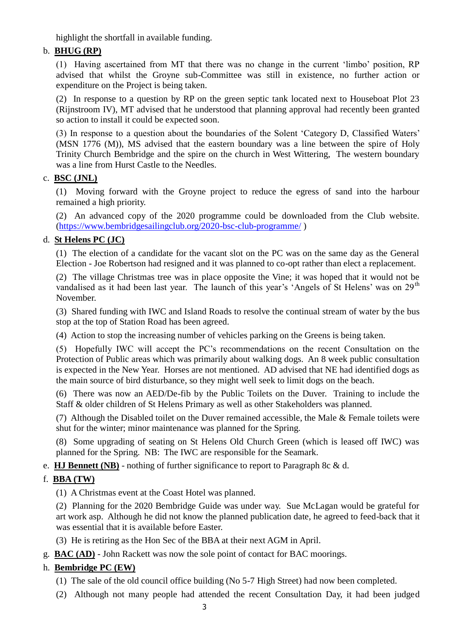highlight the shortfall in available funding.

# b. **BHUG (RP)**

(1) Having ascertained from MT that there was no change in the current 'limbo' position, RP advised that whilst the Groyne sub-Committee was still in existence, no further action or expenditure on the Project is being taken.

(2) In response to a question by RP on the green septic tank located next to Houseboat Plot 23 (Rijnstroom IV), MT advised that he understood that planning approval had recently been granted so action to install it could be expected soon.

(3) In response to a question about the boundaries of the Solent 'Category D, Classified Waters' (MSN 1776 (M)), MS advised that the eastern boundary was a line between the spire of Holy Trinity Church Bembridge and the spire on the church in West Wittering, The western boundary was a line from Hurst Castle to the Needles.

### c. **BSC (JNL)**

(1) Moving forward with the Groyne project to reduce the egress of sand into the harbour remained a high priority.

(2) An advanced copy of the 2020 programme could be downloaded from the Club website. [\(https://www.bembridgesailingclub.org/2020-bsc-club-programme/](https://www.bembridgesailingclub.org/2020-bsc-club-programme/) )

# d. **St Helens PC (JC)**

(1) The election of a candidate for the vacant slot on the PC was on the same day as the General Election - Joe Robertson had resigned and it was planned to co-opt rather than elect a replacement.

(2) The village Christmas tree was in place opposite the Vine; it was hoped that it would not be vandalised as it had been last year. The launch of this year's 'Angels of St Helens' was on  $29<sup>th</sup>$ November.

(3) Shared funding with IWC and Island Roads to resolve the continual stream of water by the bus stop at the top of Station Road has been agreed.

(4) Action to stop the increasing number of vehicles parking on the Greens is being taken.

(5) Hopefully IWC will accept the PC's recommendations on the recent Consultation on the Protection of Public areas which was primarily about walking dogs. An 8 week public consultation is expected in the New Year. Horses are not mentioned. AD advised that NE had identified dogs as the main source of bird disturbance, so they might well seek to limit dogs on the beach.

(6) There was now an AED/De-fib by the Public Toilets on the Duver. Training to include the Staff & older children of St Helens Primary as well as other Stakeholders was planned.

(7) Although the Disabled toilet on the Duver remained accessible, the Male & Female toilets were shut for the winter; minor maintenance was planned for the Spring.

(8) Some upgrading of seating on St Helens Old Church Green (which is leased off IWC) was planned for the Spring. NB: The IWC are responsible for the Seamark.

e. **HJ Bennett (NB)** - nothing of further significance to report to Paragraph 8c & d.

# f. **BBA (TW)**

(1) A Christmas event at the Coast Hotel was planned.

(2) Planning for the 2020 Bembridge Guide was under way. Sue McLagan would be grateful for art work asp. Although he did not know the planned publication date, he agreed to feed-back that it was essential that it is available before Easter.

(3) He is retiring as the Hon Sec of the BBA at their next AGM in April.

g. **BAC (AD)** - John Rackett was now the sole point of contact for BAC moorings.

# h. **Bembridge PC (EW)**

- (1) The sale of the old council office building (No 5-7 High Street) had now been completed.
- (2) Although not many people had attended the recent Consultation Day, it had been judged